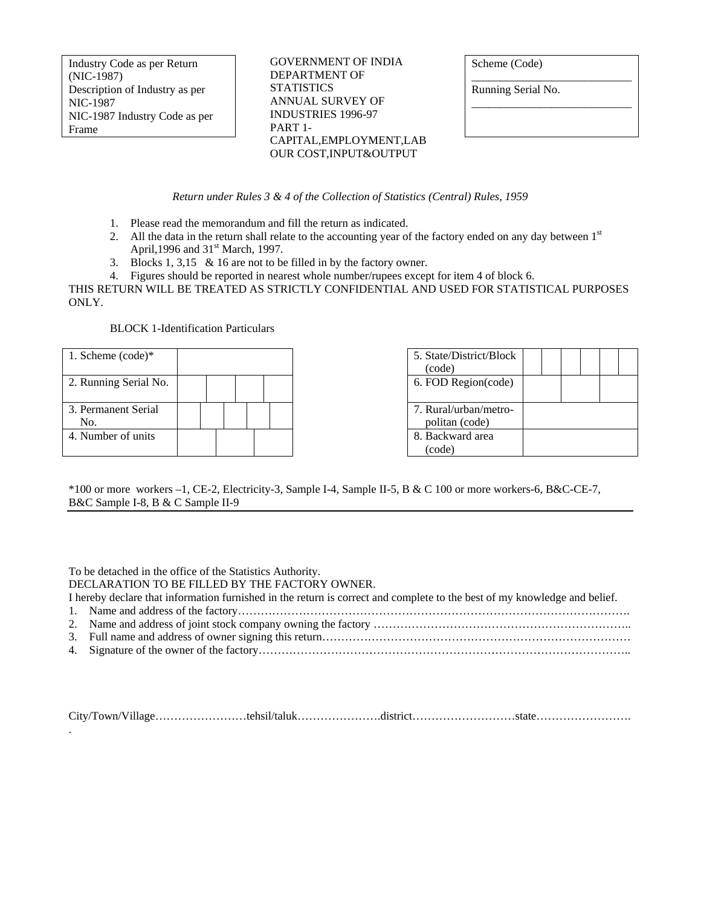Industry Code as per Return (NIC-1987) Description of Industry as per NIC-1987 NIC-1987 Industry Code as per Frame

GOVERNMENT OF INDIA DEPARTMENT OF **STATISTICS** ANNUAL SURVEY OF INDUSTRIES 1996-97 PART 1- CAPITAL,EMPLOYMENT,LAB OUR COST,INPUT&OUTPUT

Scheme (Code)

Running Serial No.

\_\_\_\_\_\_\_\_\_\_\_\_\_\_\_\_\_\_\_\_\_\_\_\_\_\_\_\_

\_\_\_\_\_\_\_\_\_\_\_\_\_\_\_\_\_\_\_\_\_\_\_\_\_\_\_\_

*Return under Rules 3 & 4 of the Collection of Statistics (Central) Rules, 1959*

- 1. Please read the memorandum and fill the return as indicated.
- 2. All the data in the return shall relate to the accounting year of the factory ended on any day between 1st April, 1996 and 31<sup>st</sup> March, 1997.
- 3. Blocks 1, 3,15 & 16 are not to be filled in by the factory owner.
- 4. Figures should be reported in nearest whole number/rupees except for item 4 of block 6.

THIS RETURN WILL BE TREATED AS STRICTLY CONFIDENTIAL AND USED FOR STATISTICAL PURPOSES ONLY.

### BLOCK 1-Identification Particulars

| 1. Scheme $(code)*$        |  |  | 5. State/District/Block<br>(code)       |  |  |  |
|----------------------------|--|--|-----------------------------------------|--|--|--|
| 2. Running Serial No.      |  |  | 6. FOD Region(code)                     |  |  |  |
| 3. Permanent Serial<br>No. |  |  | 7. Rural/urban/metro-<br>politan (code) |  |  |  |
| 4. Number of units         |  |  | 8. Backward area<br>(code)              |  |  |  |

\*100 or more workers –1, CE-2, Electricity-3, Sample I-4, Sample II-5, B & C 100 or more workers-6, B&C-CE-7, B&C Sample I-8, B & C Sample II-9

To be detached in the office of the Statistics Authority.

DECLARATION TO BE FILLED BY THE FACTORY OWNER.

I hereby declare that information furnished in the return is correct and complete to the best of my knowledge and belief.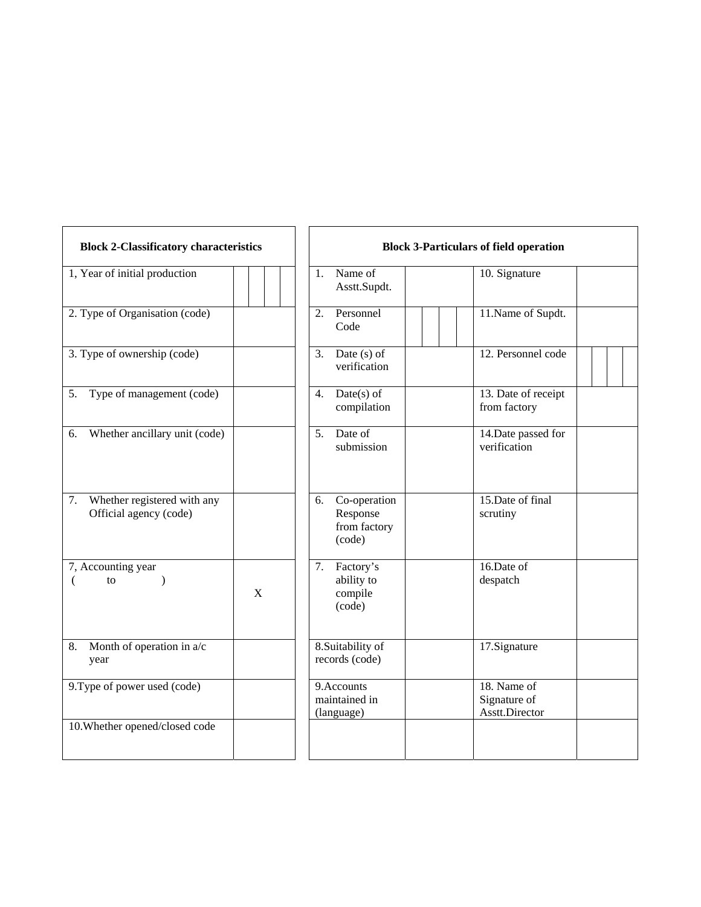| <b>Block 2-Classificatory characteristics</b>            |   | <b>Block 3-Particulars of field operation</b>                                               |  |  |  |  |
|----------------------------------------------------------|---|---------------------------------------------------------------------------------------------|--|--|--|--|
| 1, Year of initial production                            |   | Name of<br>10. Signature<br>1.<br>Asstt.Supdt.                                              |  |  |  |  |
| 2. Type of Organisation (code)                           |   | 2.<br>Personnel<br>11. Name of Supdt.<br>Code                                               |  |  |  |  |
| 3. Type of ownership (code)                              |   | 3. Date $(s)$ of<br>12. Personnel code<br>verification                                      |  |  |  |  |
| 5. Type of management (code)                             |   | 13. Date of receipt<br>$Date(s)$ of<br>4.<br>compilation<br>from factory                    |  |  |  |  |
| Whether ancillary unit (code)<br>6.                      |   | Date of<br>14. Date passed for<br>5.<br>submission<br>verification                          |  |  |  |  |
| 7. Whether registered with any<br>Official agency (code) |   | 15. Date of final<br>Co-operation<br>6.<br>Response<br>scrutiny<br>from factory<br>(code)   |  |  |  |  |
| 7, Accounting year<br>€<br>to<br>$\lambda$               | X | 16.Date of<br>7. Factory's<br>ability to<br>despatch<br>compile<br>(code)                   |  |  |  |  |
| Month of operation in a/c<br>8.<br>year                  |   | 8. Suitability of<br>17.Signature<br>records (code)                                         |  |  |  |  |
| 9. Type of power used (code)                             |   | 18. Name of<br>9. Accounts<br>maintained in<br>Signature of<br>Asstt.Director<br>(language) |  |  |  |  |
| 10. Whether opened/closed code                           |   |                                                                                             |  |  |  |  |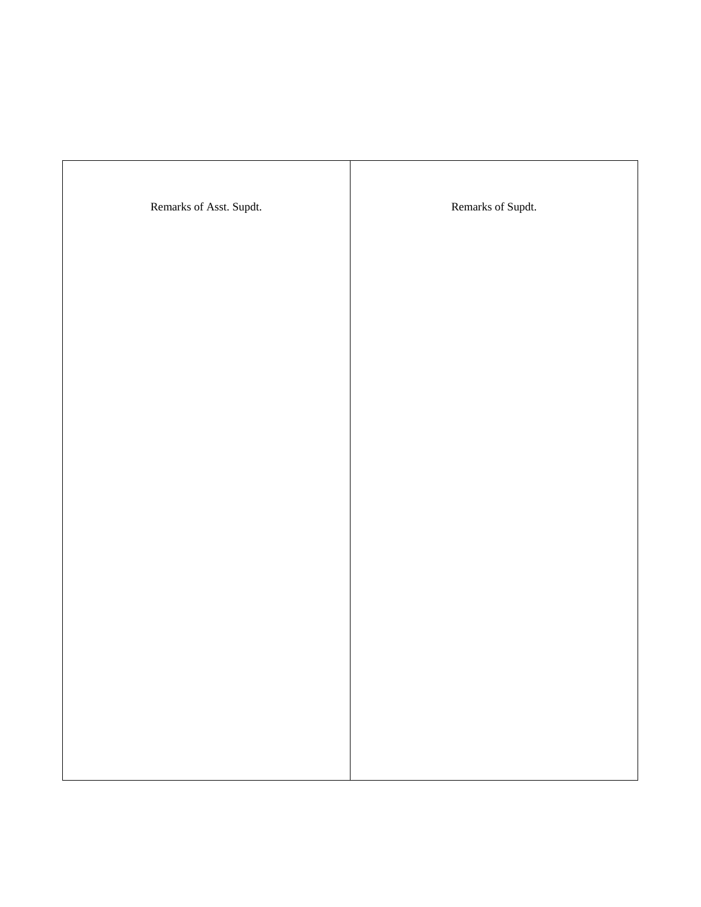| Remarks of Asst. Supdt. | Remarks of Supdt. |
|-------------------------|-------------------|
|                         |                   |
|                         |                   |
|                         |                   |
|                         |                   |
|                         |                   |
|                         |                   |
|                         |                   |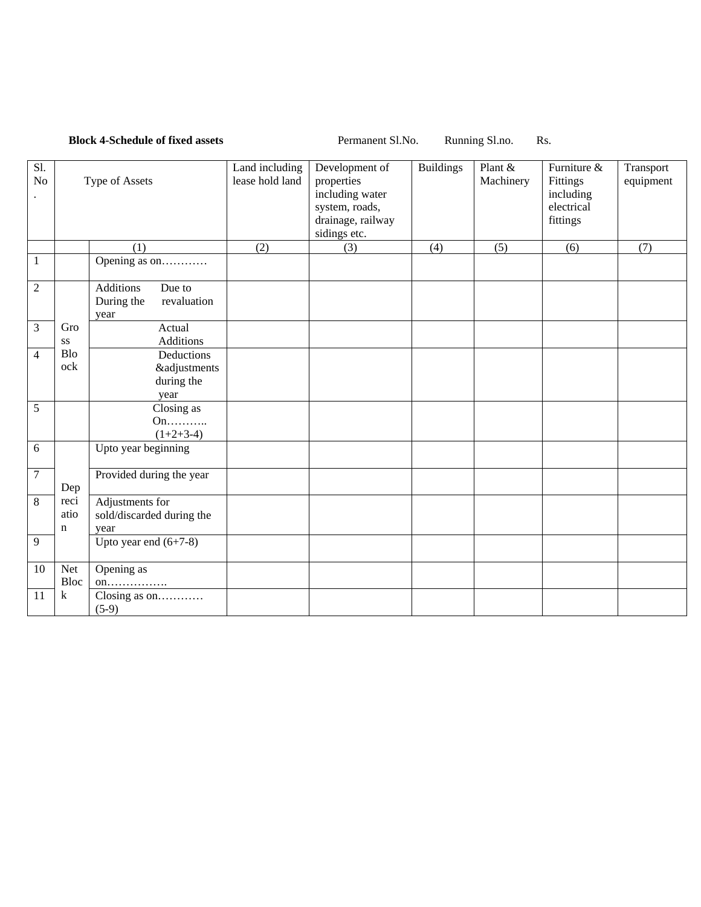|                       |                             | <b>Block 4-Schedule of fixed assets</b>                         | Permanent Sl.No.<br>Running Sl.no.<br>Rs. |                                                                                                        |                  |                      |                                                                |                        |
|-----------------------|-----------------------------|-----------------------------------------------------------------|-------------------------------------------|--------------------------------------------------------------------------------------------------------|------------------|----------------------|----------------------------------------------------------------|------------------------|
| S1.<br>N <sub>o</sub> |                             | Type of Assets                                                  | Land including<br>lease hold land         | Development of<br>properties<br>including water<br>system, roads,<br>drainage, railway<br>sidings etc. | <b>Buildings</b> | Plant &<br>Machinery | Furniture &<br>Fittings<br>including<br>electrical<br>fittings | Transport<br>equipment |
|                       |                             | (1)                                                             | (2)                                       | (3)                                                                                                    | (4)              | (5)                  | (6)                                                            | (7)                    |
| 1                     |                             | Opening as on                                                   |                                           |                                                                                                        |                  |                      |                                                                |                        |
| $\overline{2}$        |                             | <b>Additions</b><br>Due to<br>During the<br>revaluation<br>year |                                           |                                                                                                        |                  |                      |                                                                |                        |
| 3                     | Gro<br>SS                   | Actual<br><b>Additions</b>                                      |                                           |                                                                                                        |                  |                      |                                                                |                        |
| $\overline{4}$        | <b>Blo</b><br>ock           | Deductions<br><b>&amp;adjustments</b><br>during the<br>year     |                                           |                                                                                                        |                  |                      |                                                                |                        |
| 5                     |                             | Closing as<br>On<br>$(1+2+3-4)$                                 |                                           |                                                                                                        |                  |                      |                                                                |                        |
| 6                     |                             | Upto year beginning                                             |                                           |                                                                                                        |                  |                      |                                                                |                        |
| $\boldsymbol{7}$      | Dep                         | Provided during the year                                        |                                           |                                                                                                        |                  |                      |                                                                |                        |
| 8                     | reci<br>atio<br>$\mathbf n$ | Adjustments for<br>sold/discarded during the<br>year            |                                           |                                                                                                        |                  |                      |                                                                |                        |
| 9                     |                             | Upto year end $(6+7-8)$                                         |                                           |                                                                                                        |                  |                      |                                                                |                        |
| 10                    | Net<br>Bloc                 | Opening as<br>$on$                                              |                                           |                                                                                                        |                  |                      |                                                                |                        |
| 11                    | k                           | Closing as on<br>$(5-9)$                                        |                                           |                                                                                                        |                  |                      |                                                                |                        |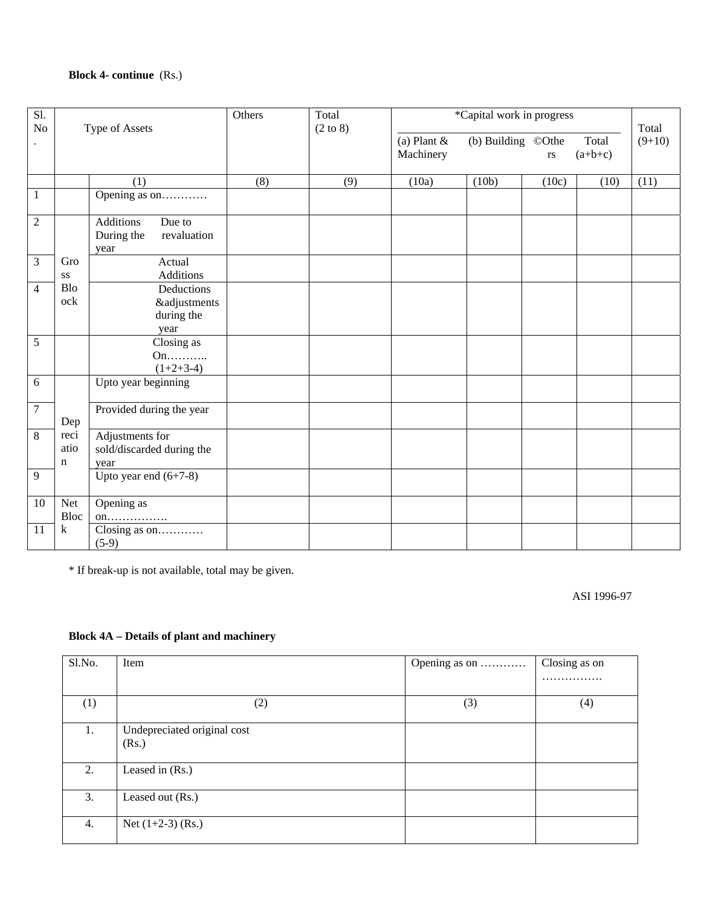# **Block 4- continue** (Rs.)

| $\overline{SI}$ .<br>$\rm No$ |                               | Type of Assets                                                  | Others | Total<br>$(2 \text{ to } 8)$ |                            | *Capital work in progress |           |                    | Total    |
|-------------------------------|-------------------------------|-----------------------------------------------------------------|--------|------------------------------|----------------------------|---------------------------|-----------|--------------------|----------|
|                               |                               |                                                                 |        |                              | (a) Plant $&$<br>Machinery | (b) Building ©Othe        | <b>rs</b> | Total<br>$(a+b+c)$ | $(9+10)$ |
|                               |                               | (1)                                                             | (8)    | (9)                          | (10a)                      | (10b)                     | (10c)     | (10)               | (11)     |
| $\overline{1}$                |                               | Opening as on                                                   |        |                              |                            |                           |           |                    |          |
| $\overline{2}$                |                               | <b>Additions</b><br>Due to<br>During the<br>revaluation<br>year |        |                              |                            |                           |           |                    |          |
| $\overline{3}$                | Gro<br>$\mathbf{S}\mathbf{S}$ | Actual<br>Additions                                             |        |                              |                            |                           |           |                    |          |
| $\overline{4}$                | <b>Blo</b><br>ock             | Deductions<br><b>&amp;adjustments</b><br>during the<br>year     |        |                              |                            |                           |           |                    |          |
| $\overline{5}$                |                               | $\overline{\text{Closing}}$ as<br>On<br>$(1+2+3-4)$             |        |                              |                            |                           |           |                    |          |
| 6                             |                               | Upto year beginning                                             |        |                              |                            |                           |           |                    |          |
| $\overline{7}$                | Dep                           | Provided during the year                                        |        |                              |                            |                           |           |                    |          |
| $\overline{8}$                | reci<br>atio<br>$\mathbf n$   | Adjustments for<br>sold/discarded during the<br>year            |        |                              |                            |                           |           |                    |          |
| 9                             |                               | Upto year end $(6+7-8)$                                         |        |                              |                            |                           |           |                    |          |
| 10                            | Net<br>Bloc                   | Opening as<br>$on \ldots $                                      |        |                              |                            |                           |           |                    |          |
| 11                            | $\mathbf k$                   | Closing as on<br>$(5-9)$                                        |        |                              |                            |                           |           |                    |          |

\* If break-up is not available, total may be given.

ASI 1996-97

## **Block 4A – Details of plant and machinery**

| Sl.No. | Item                                 | Opening as on | Closing as on |
|--------|--------------------------------------|---------------|---------------|
|        |                                      |               | .             |
| (1)    | (2)                                  | (3)           | (4)           |
| 1.     | Undepreciated original cost<br>(Rs.) |               |               |
| 2.     | Leased in (Rs.)                      |               |               |
| 3.     | Leased out (Rs.)                     |               |               |
| 4.     | Net $(1+2-3)$ (Rs.)                  |               |               |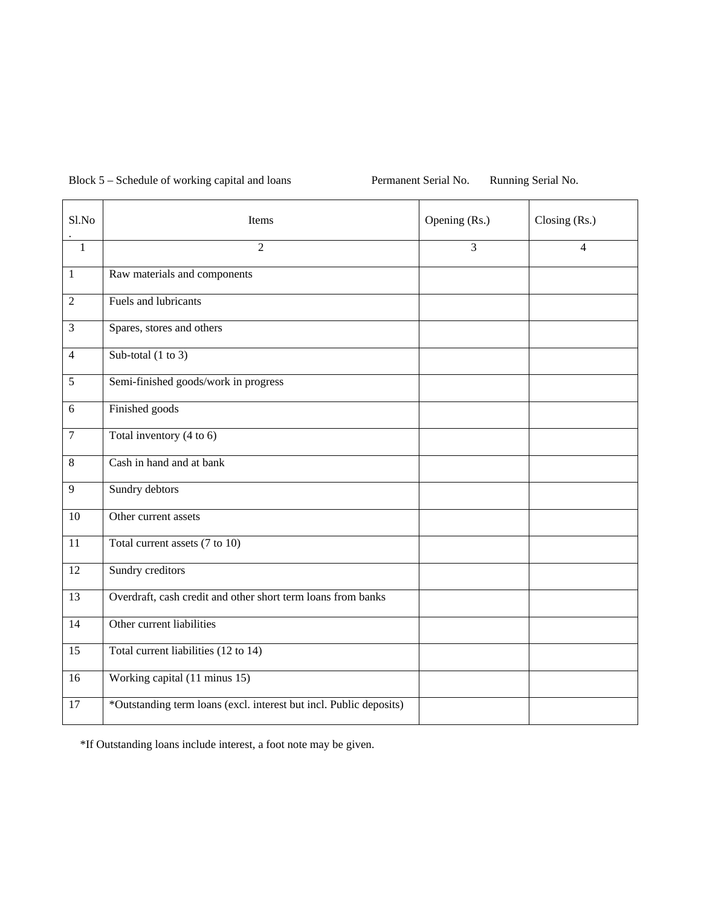Block 5 – Schedule of working capital and loans Permanent Serial No. Running Serial No.

| Sl.No           | Items                                                              | Opening (Rs.) | Closing (Rs.) |
|-----------------|--------------------------------------------------------------------|---------------|---------------|
| $\overline{1}$  | $\overline{2}$                                                     | 3             | 4             |
| $\mathbf{1}$    | Raw materials and components                                       |               |               |
| $\overline{2}$  | Fuels and lubricants                                               |               |               |
| 3               | Spares, stores and others                                          |               |               |
| $\overline{4}$  | Sub-total $(1 \text{ to } 3)$                                      |               |               |
| 5               | Semi-finished goods/work in progress                               |               |               |
| 6               | Finished goods                                                     |               |               |
| $\tau$          | Total inventory (4 to 6)                                           |               |               |
| $\,8\,$         | Cash in hand and at bank                                           |               |               |
| 9               | Sundry debtors                                                     |               |               |
| 10              | Other current assets                                               |               |               |
| 11              | Total current assets (7 to 10)                                     |               |               |
| 12              | Sundry creditors                                                   |               |               |
| 13              | Overdraft, cash credit and other short term loans from banks       |               |               |
| 14              | Other current liabilities                                          |               |               |
| $\overline{15}$ | Total current liabilities (12 to 14)                               |               |               |
| 16              | Working capital (11 minus 15)                                      |               |               |
| 17              | *Outstanding term loans (excl. interest but incl. Public deposits) |               |               |

\*If Outstanding loans include interest, a foot note may be given.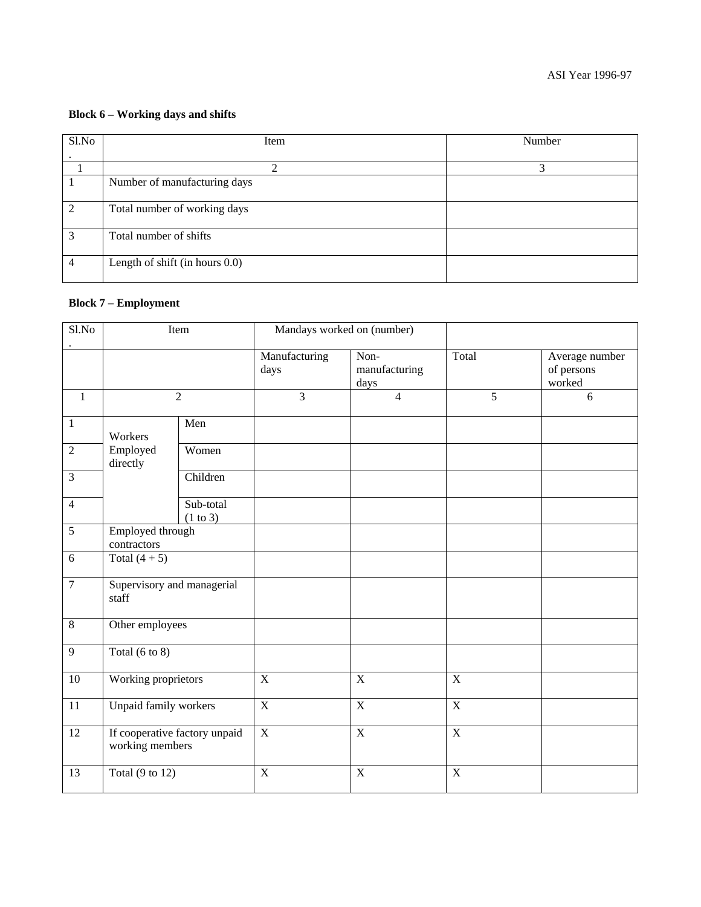#### **Block 6 – Working days and shifts**

| Sl.No          | Item                           | Number |
|----------------|--------------------------------|--------|
|                |                                |        |
|                |                                |        |
|                | Number of manufacturing days   |        |
| 2              | Total number of working days   |        |
| 3              | Total number of shifts         |        |
| $\overline{4}$ | Length of shift (in hours 0.0) |        |

## **Block 7 – Employment**

| S1.No          | Item                                             |                            |                       | Mandays worked on (number)    |                |                                        |
|----------------|--------------------------------------------------|----------------------------|-----------------------|-------------------------------|----------------|----------------------------------------|
|                |                                                  |                            | Manufacturing<br>days | Non-<br>manufacturing<br>days | Total          | Average number<br>of persons<br>worked |
| $\mathbf{1}$   |                                                  | $\overline{2}$             | $\overline{3}$        | $\overline{4}$                | $\overline{5}$ | 6                                      |
| $\mathbf{1}$   | Workers                                          | Men                        |                       |                               |                |                                        |
| $\overline{2}$ | Employed<br>directly                             | Women                      |                       |                               |                |                                        |
| 3              |                                                  | Children                   |                       |                               |                |                                        |
| $\overline{4}$ |                                                  | Sub-total<br>(1 to 3)      |                       |                               |                |                                        |
| 5              | Employed through<br>contractors                  |                            |                       |                               |                |                                        |
| 6              | Total $(4 + 5)$                                  |                            |                       |                               |                |                                        |
| 7              | staff                                            | Supervisory and managerial |                       |                               |                |                                        |
| 8              | Other employees                                  |                            |                       |                               |                |                                        |
| 9              | Total $(6 \text{ to } 8)$                        |                            |                       |                               |                |                                        |
| 10             | Working proprietors                              |                            | $\mathbf X$           | $\mathbf X$                   | $\mathbf X$    |                                        |
| 11             | <b>Unpaid family workers</b>                     |                            | $\overline{X}$        | $\overline{X}$                | $\overline{X}$ |                                        |
| 12             | If cooperative factory unpaid<br>working members |                            | $\overline{X}$        | $\overline{X}$                | $\overline{X}$ |                                        |
| 13             | Total $(9 \text{ to } 12)$                       |                            | $\overline{X}$        | $\mathbf X$                   | $\overline{X}$ |                                        |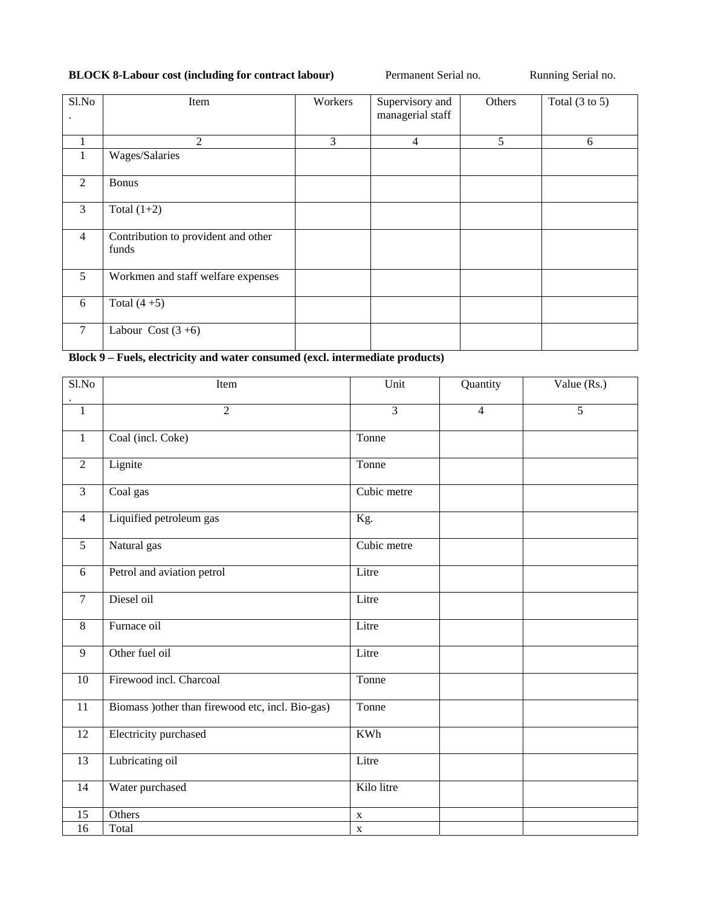# **BLOCK 8-Labour cost (including for contract labour)** Permanent Serial no. Running Serial no.

| Sl.No          | Item                                         | Workers | Supervisory and<br>managerial staff | Others | Total $(3 \text{ to } 5)$ |
|----------------|----------------------------------------------|---------|-------------------------------------|--------|---------------------------|
| $\mathbf{1}$   | 2                                            | 3       | $\overline{4}$                      | 5      | 6                         |
| 1              | Wages/Salaries                               |         |                                     |        |                           |
| 2              | <b>Bonus</b>                                 |         |                                     |        |                           |
| 3              | Total $(1+2)$                                |         |                                     |        |                           |
| $\overline{4}$ | Contribution to provident and other<br>funds |         |                                     |        |                           |
| 5              | Workmen and staff welfare expenses           |         |                                     |        |                           |
| 6              | Total $(4+5)$                                |         |                                     |        |                           |
| 7              | Labour Cost $(3+6)$                          |         |                                     |        |                           |

**Block 9 – Fuels, electricity and water consumed (excl. intermediate products)** 

| S1.No          | Item                                              | Unit           | Quantity       | Value (Rs.) |
|----------------|---------------------------------------------------|----------------|----------------|-------------|
|                |                                                   |                |                |             |
| $\mathbf{1}$   | $\overline{2}$                                    | $\overline{3}$ | $\overline{4}$ | 5           |
| $\mathbf{1}$   | Coal (incl. Coke)                                 | Tonne          |                |             |
| $\overline{2}$ | Lignite                                           | Tonne          |                |             |
| $\overline{3}$ | Coal gas                                          | Cubic metre    |                |             |
| $\overline{4}$ | Liquified petroleum gas                           | Kg.            |                |             |
| 5              | Natural gas                                       | Cubic metre    |                |             |
| 6              | Petrol and aviation petrol                        | Litre          |                |             |
| $\tau$         | Diesel oil                                        | Litre          |                |             |
| 8              | Furnace oil                                       | Litre          |                |             |
| 9              | Other fuel oil                                    | Litre          |                |             |
| 10             | Firewood incl. Charcoal                           | Tonne          |                |             |
| 11             | Biomass ) other than firewood etc, incl. Bio-gas) | Tonne          |                |             |
| 12             | Electricity purchased                             | <b>KWh</b>     |                |             |
| 13             | Lubricating oil                                   | Litre          |                |             |
| 14             | Water purchased                                   | Kilo litre     |                |             |
| 15             | Others                                            | $\mathbf X$    |                |             |
| 16             | Total                                             | $\mathbf X$    |                |             |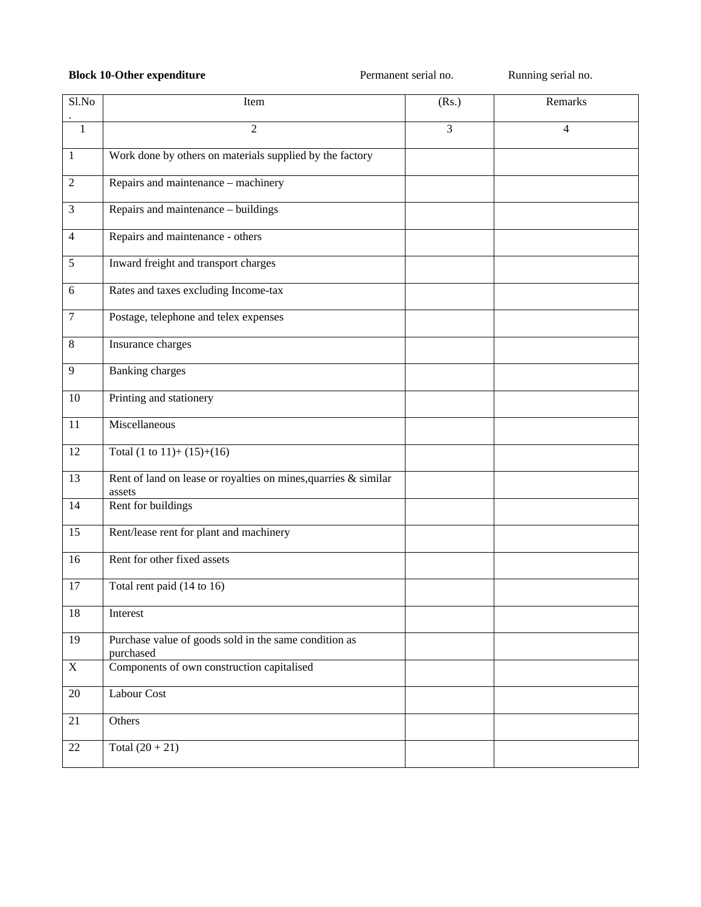## **Block 10-Other expenditure Permanent serial no.** Running serial no.

| Sl.No          | Item                                                                      | (Rs.) | Remarks        |
|----------------|---------------------------------------------------------------------------|-------|----------------|
| $\mathbf{1}$   | $\overline{2}$                                                            | 3     | $\overline{4}$ |
| $\mathbf{1}$   | Work done by others on materials supplied by the factory                  |       |                |
| $\sqrt{2}$     | Repairs and maintenance - machinery                                       |       |                |
| $\mathfrak{Z}$ | Repairs and maintenance - buildings                                       |       |                |
| $\overline{4}$ | Repairs and maintenance - others                                          |       |                |
| $\sqrt{5}$     | Inward freight and transport charges                                      |       |                |
| $\sqrt{6}$     | Rates and taxes excluding Income-tax                                      |       |                |
| $\tau$         | Postage, telephone and telex expenses                                     |       |                |
| $\,8\,$        | Insurance charges                                                         |       |                |
| $\overline{9}$ | <b>Banking charges</b>                                                    |       |                |
| $10\,$         | Printing and stationery                                                   |       |                |
| 11             | Miscellaneous                                                             |       |                |
| 12             | Total $(1 \text{ to } 11) + (15) + (16)$                                  |       |                |
| 13             | Rent of land on lease or royalties on mines, quarries & similar<br>assets |       |                |
| 14             | Rent for buildings                                                        |       |                |
| 15             | Rent/lease rent for plant and machinery                                   |       |                |
| 16             | Rent for other fixed assets                                               |       |                |
| 17             | Total rent paid (14 to 16)                                                |       |                |
| 18             | Interest                                                                  |       |                |
| 19             | Purchase value of goods sold in the same condition as<br>purchased        |       |                |
| $\mathbf X$    | Components of own construction capitalised                                |       |                |
| $20\,$         | Labour Cost                                                               |       |                |
| 21             | Others                                                                    |       |                |
| $22\,$         | Total $(20 + 21)$                                                         |       |                |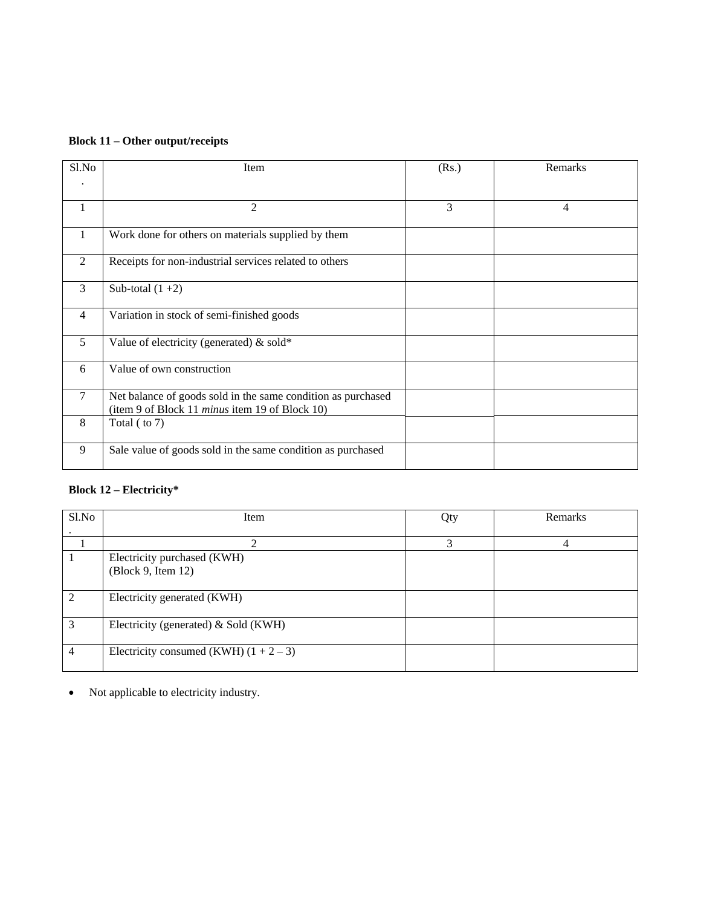| Sl.No          | Item                                                                                                           | (Rs.) | Remarks |
|----------------|----------------------------------------------------------------------------------------------------------------|-------|---------|
|                |                                                                                                                |       |         |
| $\mathbf{1}$   | $\overline{2}$                                                                                                 | 3     | 4       |
| -1             | Work done for others on materials supplied by them                                                             |       |         |
| 2              | Receipts for non-industrial services related to others                                                         |       |         |
| 3              | Sub-total $(1+2)$                                                                                              |       |         |
| $\overline{4}$ | Variation in stock of semi-finished goods                                                                      |       |         |
| 5              | Value of electricity (generated) $&$ sold*                                                                     |       |         |
| 6              | Value of own construction                                                                                      |       |         |
| $\tau$         | Net balance of goods sold in the same condition as purchased<br>(item 9 of Block 11 minus item 19 of Block 10) |       |         |
| 8              | Total (to 7)                                                                                                   |       |         |
| 9              | Sale value of goods sold in the same condition as purchased                                                    |       |         |

# **Block 12 – Electricity\***

| Sl.No | Item                                     | Qty | Remarks |
|-------|------------------------------------------|-----|---------|
|       |                                          |     |         |
|       | ി                                        | 3   |         |
|       | Electricity purchased (KWH)              |     |         |
|       | (Block 9, Item 12)                       |     |         |
|       |                                          |     |         |
| ∍     | Electricity generated (KWH)              |     |         |
|       |                                          |     |         |
| 3     | Electricity (generated) & Sold (KWH)     |     |         |
|       |                                          |     |         |
| 4     | Electricity consumed (KWH) $(1 + 2 - 3)$ |     |         |
|       |                                          |     |         |

• Not applicable to electricity industry.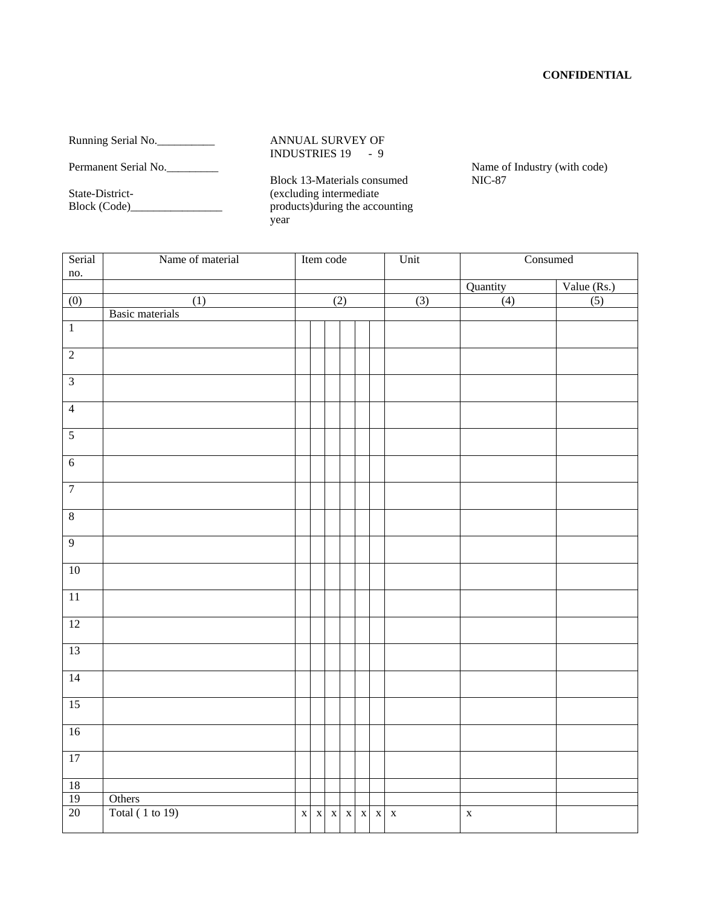## **CONFIDENTIAL**

Running Serial No.

Permanent Serial No.

State-District-Block (Code)\_\_\_\_\_\_\_\_\_\_\_\_\_\_\_\_ ANNUAL SURVEY OF INDUSTRIES 19 - 9

Block 13-Materials consumed (excluding intermediate products)during the accounting year

Name of Industry (with code) NIC-87

| Serial<br>no.                  | Name of material       |     |                         | Item code   |             |                    |             | Unit        | Consumed    |  |
|--------------------------------|------------------------|-----|-------------------------|-------------|-------------|--------------------|-------------|-------------|-------------|--|
|                                |                        |     |                         |             | Quantity    |                    |             |             |             |  |
| (0)                            | $\overline{(1)}$       | (2) |                         | (3)         | (4)         | Value (Rs.)<br>(5) |             |             |             |  |
|                                | <b>Basic materials</b> |     |                         |             |             |                    |             |             |             |  |
| $\overline{1}$                 |                        |     |                         |             |             |                    |             |             |             |  |
| $\overline{2}$                 |                        |     |                         |             |             |                    |             |             |             |  |
| $\overline{3}$                 |                        |     |                         |             |             |                    |             |             |             |  |
| $\overline{4}$                 |                        |     |                         |             |             |                    |             |             |             |  |
| $\overline{5}$                 |                        |     |                         |             |             |                    |             |             |             |  |
| $\overline{6}$                 |                        |     |                         |             |             |                    |             |             |             |  |
| $\overline{7}$                 |                        |     |                         |             |             |                    |             |             |             |  |
| $\bf 8$                        |                        |     |                         |             |             |                    |             |             |             |  |
| $\overline{9}$                 |                        |     |                         |             |             |                    |             |             |             |  |
| 10                             |                        |     |                         |             |             |                    |             |             |             |  |
| $\overline{11}$                |                        |     |                         |             |             |                    |             |             |             |  |
| 12                             |                        |     |                         |             |             |                    |             |             |             |  |
| 13                             |                        |     |                         |             |             |                    |             |             |             |  |
| 14                             |                        |     |                         |             |             |                    |             |             |             |  |
| 15                             |                        |     |                         |             |             |                    |             |             |             |  |
| 16                             |                        |     |                         |             |             |                    |             |             |             |  |
| 17                             |                        |     |                         |             |             |                    |             |             |             |  |
| $\frac{18}{19}$ $\frac{1}{20}$ |                        |     |                         |             |             |                    |             |             |             |  |
|                                | Others                 |     |                         |             |             |                    |             |             |             |  |
|                                | Total (1 to 19)        |     | $\mathbf{X}=\mathbf{X}$ | $\mathbf X$ | $\mathbf x$ | $\mathbf X$        | $\mathbf X$ | $\mathbf X$ | $\mathbf X$ |  |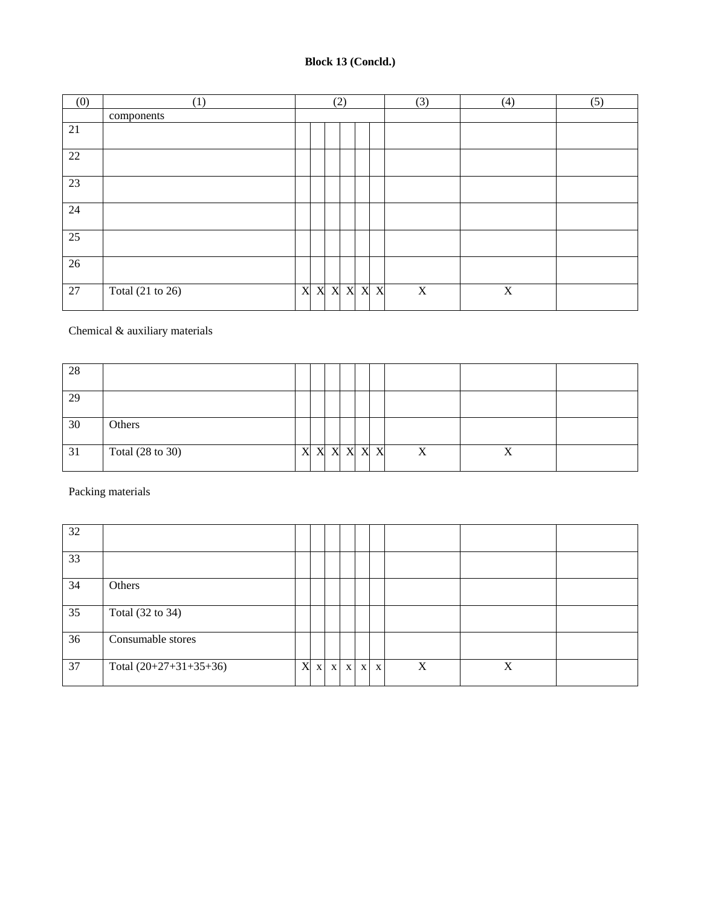# **Block 13 (Concld.)**

| (0) | (1)              | (2) |  |  |  | (3)       | (4)         | (5) |  |
|-----|------------------|-----|--|--|--|-----------|-------------|-----|--|
|     | components       |     |  |  |  |           |             |     |  |
| 21  |                  |     |  |  |  |           |             |     |  |
| 22  |                  |     |  |  |  |           |             |     |  |
| 23  |                  |     |  |  |  |           |             |     |  |
| 24  |                  |     |  |  |  |           |             |     |  |
| 25  |                  |     |  |  |  |           |             |     |  |
| 26  |                  |     |  |  |  |           |             |     |  |
| 27  | Total (21 to 26) | X   |  |  |  | X X X X X | $\mathbf X$ | X   |  |

Chemical & auxiliary materials

| 28 |                  |   |  |  |           |   |  |
|----|------------------|---|--|--|-----------|---|--|
| 29 |                  |   |  |  |           |   |  |
| 30 | Others           |   |  |  |           |   |  |
| 31 | Total (28 to 30) | X |  |  | X X X X X | X |  |

Packing materials

| 32 |                          |   |             |              |  |                   |   |   |  |
|----|--------------------------|---|-------------|--------------|--|-------------------|---|---|--|
| 33 |                          |   |             |              |  |                   |   |   |  |
| 34 | Others                   |   |             |              |  |                   |   |   |  |
| 35 | Total (32 to 34)         |   |             |              |  |                   |   |   |  |
| 36 | Consumable stores        |   |             |              |  |                   |   |   |  |
| 37 | Total $(20+27+31+35+36)$ | X | $\mathbf X$ | $\mathbf{X}$ |  | $X \mid X \mid X$ | X | X |  |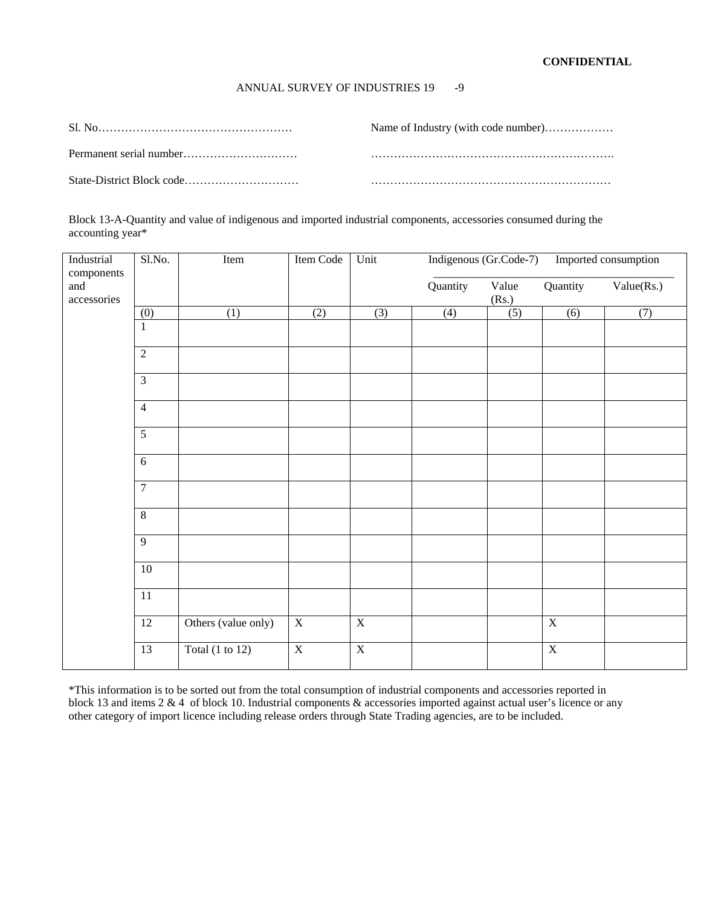### ANNUAL SURVEY OF INDUSTRIES 19 -9

| Name of Industry (with code number) |
|-------------------------------------|
|                                     |
|                                     |

Block 13-A-Quantity and value of indigenous and imported industrial components, accessories consumed during the accounting year\*

| Industrial<br>components | Sl.No.          | Item                       | Item Code               | Unit                    | Indigenous (Gr.Code-7) |                |                | Imported consumption |
|--------------------------|-----------------|----------------------------|-------------------------|-------------------------|------------------------|----------------|----------------|----------------------|
| and<br>accessories       |                 |                            |                         |                         | Quantity               | Value<br>(Rs.) | Quantity       | Value(Rs.)           |
|                          | (0)             | (1)                        | (2)                     | (3)                     | (4)                    | (5)            | (6)            | (7)                  |
|                          | $\mathbf{1}$    |                            |                         |                         |                        |                |                |                      |
|                          | $\overline{2}$  |                            |                         |                         |                        |                |                |                      |
|                          | $\overline{3}$  |                            |                         |                         |                        |                |                |                      |
|                          | $\overline{4}$  |                            |                         |                         |                        |                |                |                      |
|                          | $\overline{5}$  |                            |                         |                         |                        |                |                |                      |
|                          | $\overline{6}$  |                            |                         |                         |                        |                |                |                      |
|                          | $\overline{7}$  |                            |                         |                         |                        |                |                |                      |
|                          | $\overline{8}$  |                            |                         |                         |                        |                |                |                      |
|                          | $\overline{9}$  |                            |                         |                         |                        |                |                |                      |
|                          | $10\,$          |                            |                         |                         |                        |                |                |                      |
|                          | $\overline{11}$ |                            |                         |                         |                        |                |                |                      |
|                          | 12              | Others (value only)        | $\overline{X}$          | $\overline{X}$          |                        |                | $\overline{X}$ |                      |
|                          | $\overline{13}$ | Total $(1 \text{ to } 12)$ | $\overline{\textbf{X}}$ | $\overline{\textbf{X}}$ |                        |                | $\overline{X}$ |                      |

\*This information is to be sorted out from the total consumption of industrial components and accessories reported in block 13 and items 2 & 4 of block 10. Industrial components & accessories imported against actual user's licence or any other category of import licence including release orders through State Trading agencies, are to be included.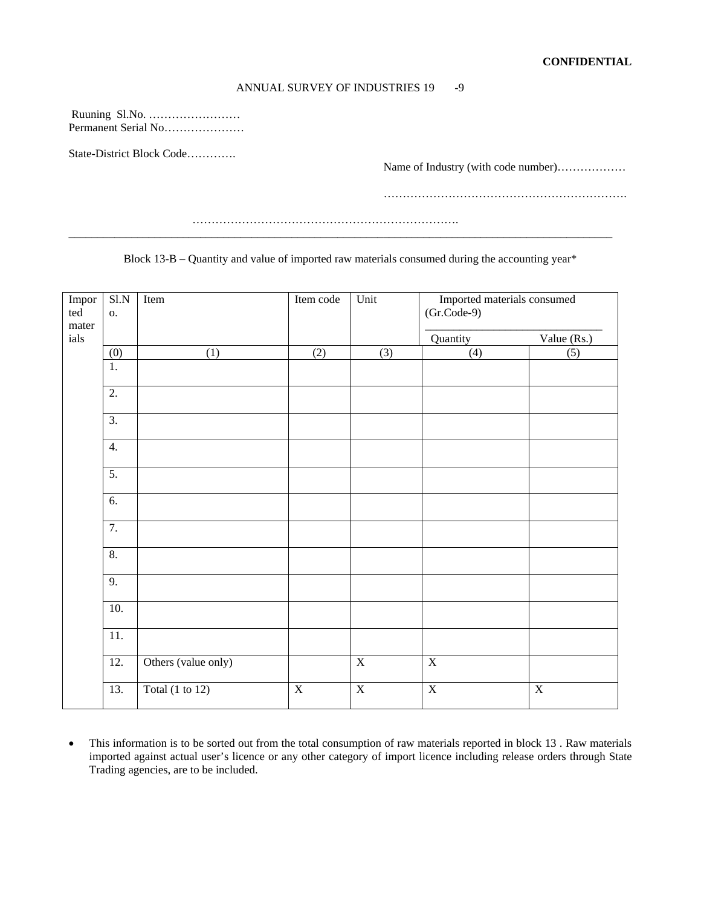#### ANNUAL SURVEY OF INDUSTRIES 19 -9

 Ruuning Sl.No. …………………… Permanent Serial No…………………

State-District Block Code………….

Name of Industry (with code number)………………

……………………………………………………….

Block 13-B – Quantity and value of imported raw materials consumed during the accounting year\*

 …………………………………………………………….  $\overline{a}$  , and the contribution of the contribution of the contribution of the contribution of the contribution of the contribution of the contribution of the contribution of the contribution of the contribution of the co

| Impor<br>ted<br>mater | S1.N<br>0.       | Item                       | Item code               | Unit                    | Imported materials consumed<br>$(Gr.Code-9)$ |                         |  |
|-----------------------|------------------|----------------------------|-------------------------|-------------------------|----------------------------------------------|-------------------------|--|
| ials                  |                  |                            |                         |                         | Quantity                                     | Value (Rs.)             |  |
|                       | (0)              | (1)                        | (2)                     | (3)                     | (4)                                          | (5)                     |  |
|                       | 1.               |                            |                         |                         |                                              |                         |  |
|                       | $\overline{2}$ . |                            |                         |                         |                                              |                         |  |
|                       | $\overline{3}$ . |                            |                         |                         |                                              |                         |  |
|                       | 4.               |                            |                         |                         |                                              |                         |  |
|                       | 5.               |                            |                         |                         |                                              |                         |  |
|                       | 6.               |                            |                         |                         |                                              |                         |  |
|                       | $\overline{7}$ . |                            |                         |                         |                                              |                         |  |
|                       | 8.               |                            |                         |                         |                                              |                         |  |
|                       | 9.               |                            |                         |                         |                                              |                         |  |
|                       | 10.              |                            |                         |                         |                                              |                         |  |
|                       | 11.              |                            |                         |                         |                                              |                         |  |
|                       | 12.              | Others (value only)        |                         | $\overline{\textbf{X}}$ | $\overline{\textbf{X}}$                      |                         |  |
|                       | 13.              | Total $(1 \text{ to } 12)$ | $\overline{\textbf{X}}$ | $\overline{\textbf{X}}$ | $\overline{\textbf{X}}$                      | $\overline{\textbf{X}}$ |  |

• This information is to be sorted out from the total consumption of raw materials reported in block 13 . Raw materials imported against actual user's licence or any other category of import licence including release orders through State Trading agencies, are to be included.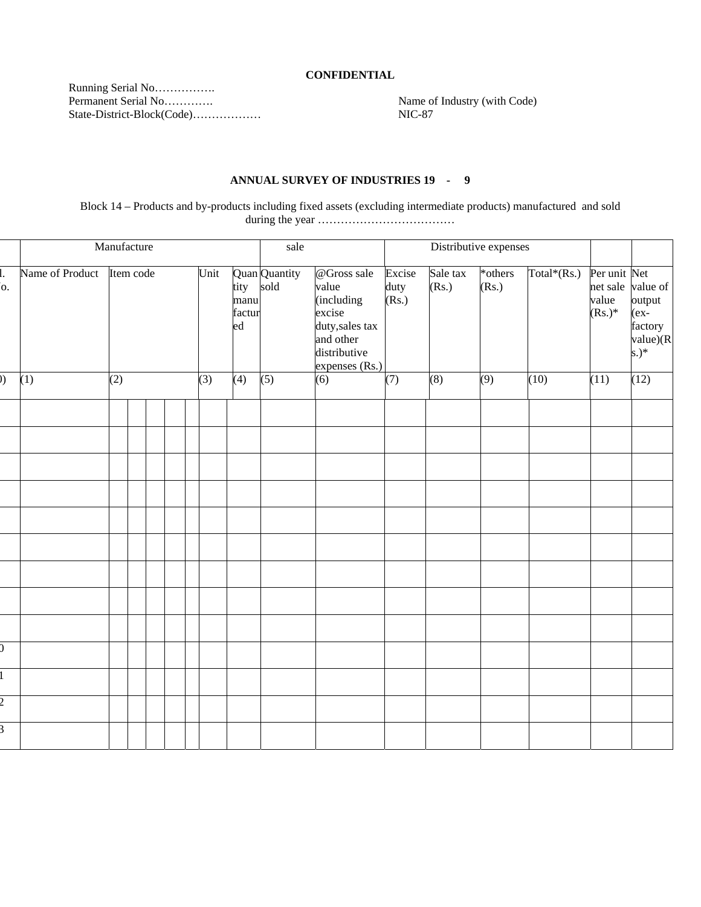### **CONFIDENTIAL**

Running Serial No…………….<br>Permanent Serial No…………. State-District-Block(Code)………………

Name of Industry (with Code)<br>NIC-87

### **ANNUAL SURVEY OF INDUSTRIES 19 - 9**

Block 14 – Products and by-products including fixed assets (excluding intermediate products) manufactured and sold during the year ………………………………

|                | Manufacture     |     |           |  |  |  |      |                      | sale                       |                                                                                                                | Distributive expenses               |                   |                  |             |                                    |                                                                          |
|----------------|-----------------|-----|-----------|--|--|--|------|----------------------|----------------------------|----------------------------------------------------------------------------------------------------------------|-------------------------------------|-------------------|------------------|-------------|------------------------------------|--------------------------------------------------------------------------|
| Ι.<br>o.       | Name of Product |     | Item code |  |  |  | Unit | manu<br>factur<br>ed | Quan Quantity<br>tity sold | @Gross sale<br>value<br>(including<br>excise<br>duty, sales tax<br>and other<br>distributive<br>expenses (Rs.) | Excise<br>duty<br>(S <sub>s</sub> ) | Sale tax<br>(Rs.) | *others<br>(Rs.) | Total*(Rs.) | Per unit Net<br>value<br>$(Rs.)^*$ | net sale value of<br>output<br>$(ex-$<br>factory<br>value)(R<br>$(s.)^*$ |
| ))             | (1)             | (2) |           |  |  |  | (3)  | (4)                  | (5)                        | $\overline{(6)}$                                                                                               | (7)                                 | (8)               | $\overline{(9)}$ | (10)        | (11)                               | (12)                                                                     |
|                |                 |     |           |  |  |  |      |                      |                            |                                                                                                                |                                     |                   |                  |             |                                    |                                                                          |
|                |                 |     |           |  |  |  |      |                      |                            |                                                                                                                |                                     |                   |                  |             |                                    |                                                                          |
|                |                 |     |           |  |  |  |      |                      |                            |                                                                                                                |                                     |                   |                  |             |                                    |                                                                          |
|                |                 |     |           |  |  |  |      |                      |                            |                                                                                                                |                                     |                   |                  |             |                                    |                                                                          |
|                |                 |     |           |  |  |  |      |                      |                            |                                                                                                                |                                     |                   |                  |             |                                    |                                                                          |
|                |                 |     |           |  |  |  |      |                      |                            |                                                                                                                |                                     |                   |                  |             |                                    |                                                                          |
|                |                 |     |           |  |  |  |      |                      |                            |                                                                                                                |                                     |                   |                  |             |                                    |                                                                          |
|                |                 |     |           |  |  |  |      |                      |                            |                                                                                                                |                                     |                   |                  |             |                                    |                                                                          |
|                |                 |     |           |  |  |  |      |                      |                            |                                                                                                                |                                     |                   |                  |             |                                    |                                                                          |
| $\overline{0}$ |                 |     |           |  |  |  |      |                      |                            |                                                                                                                |                                     |                   |                  |             |                                    |                                                                          |
|                |                 |     |           |  |  |  |      |                      |                            |                                                                                                                |                                     |                   |                  |             |                                    |                                                                          |
| $\overline{2}$ |                 |     |           |  |  |  |      |                      |                            |                                                                                                                |                                     |                   |                  |             |                                    |                                                                          |
| $\overline{3}$ |                 |     |           |  |  |  |      |                      |                            |                                                                                                                |                                     |                   |                  |             |                                    |                                                                          |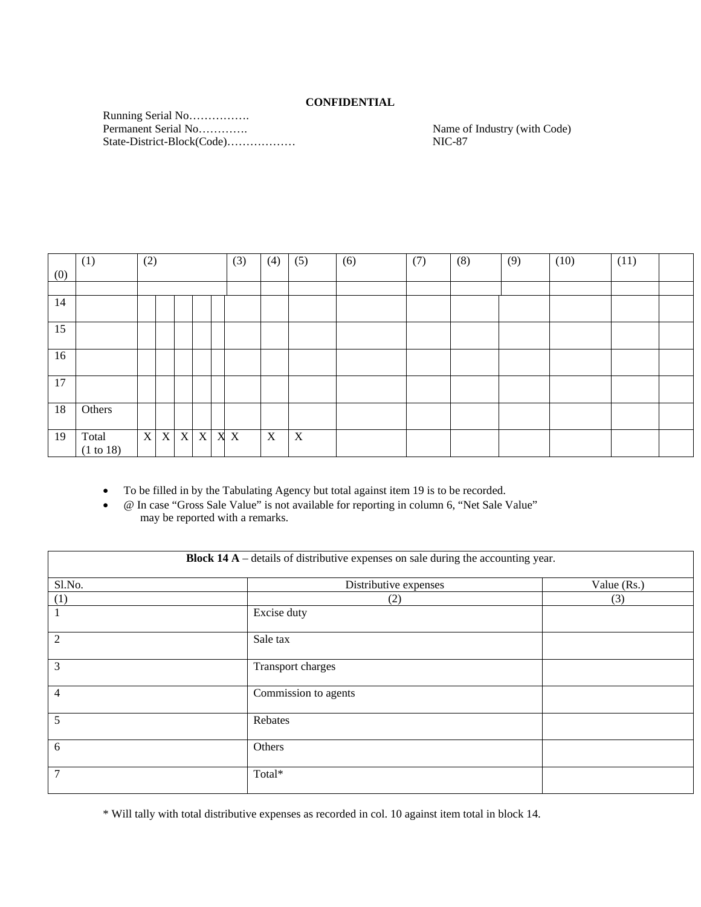## **CONFIDENTIAL**

Running Serial No…………….<br>Permanent Serial No…………. State-District-Block(Code)……………… NIC-87

Name of Industry (with Code)

|     | (1)                | (2)         |             |                           |             | (3) | (4) | (5)         | (6) | (7) | (8) | (9) | (10) | (11) |  |
|-----|--------------------|-------------|-------------|---------------------------|-------------|-----|-----|-------------|-----|-----|-----|-----|------|------|--|
| (0) |                    |             |             |                           |             |     |     |             |     |     |     |     |      |      |  |
|     |                    |             |             |                           |             |     |     |             |     |     |     |     |      |      |  |
| 14  |                    |             |             |                           |             |     |     |             |     |     |     |     |      |      |  |
| 15  |                    |             |             |                           |             |     |     |             |     |     |     |     |      |      |  |
| 16  |                    |             |             |                           |             |     |     |             |     |     |     |     |      |      |  |
| 17  |                    |             |             |                           |             |     |     |             |     |     |     |     |      |      |  |
| 18  | Others             |             |             |                           |             |     |     |             |     |     |     |     |      |      |  |
| 19  | Total<br>(1 to 18) | $\mathbf X$ | $\mathbf X$ | $\boldsymbol{\mathrm{X}}$ | $\mathbf X$ | X X | X   | $\mathbf X$ |     |     |     |     |      |      |  |

• To be filled in by the Tabulating Agency but total against item 19 is to be recorded.

• @ In case "Gross Sale Value" is not available for reporting in column 6, "Net Sale Value" may be reported with a remarks.

| <b>Block 14 A</b> – details of distributive expenses on sale during the accounting year. |                       |             |  |  |  |  |  |
|------------------------------------------------------------------------------------------|-----------------------|-------------|--|--|--|--|--|
| Sl.No.                                                                                   | Distributive expenses | Value (Rs.) |  |  |  |  |  |
| (1)                                                                                      | (2)                   | (3)         |  |  |  |  |  |
|                                                                                          | Excise duty           |             |  |  |  |  |  |
| 2                                                                                        | Sale tax              |             |  |  |  |  |  |
| 3                                                                                        | Transport charges     |             |  |  |  |  |  |
| 4                                                                                        | Commission to agents  |             |  |  |  |  |  |
| 5                                                                                        | Rebates               |             |  |  |  |  |  |
| 6                                                                                        | Others                |             |  |  |  |  |  |
| 7                                                                                        | Total*                |             |  |  |  |  |  |

\* Will tally with total distributive expenses as recorded in col. 10 against item total in block 14.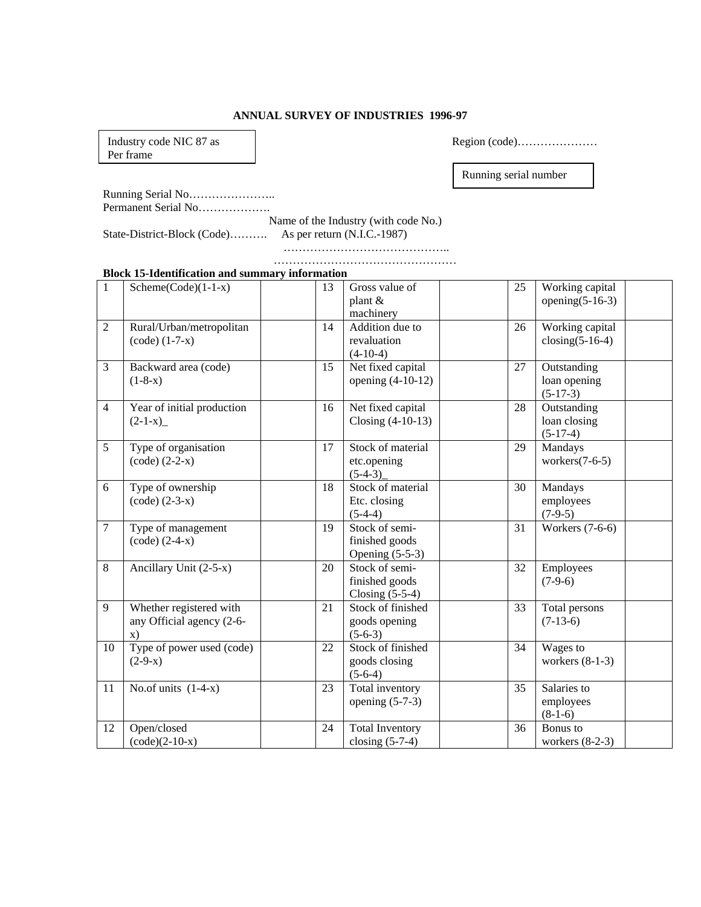## **ANNUAL SURVEY OF INDUSTRIES 1996-97**

Industry code NIC 87 as Per frame

Region (code)…………………

Running serial number

Running Serial No………………….. Permanent Serial No……………….

Name of the Industry (with code No.)

State-District-Block (Code)………. As per return (N.I.C.-1987)

 …………………………………….. …………………………………………

### **Block 15-Identification and summary information**

| $\mathbf{1}$   | $Scheme(Code)(1-1-x)$      | 13 | Gross value of         | 25 | Working capital    |  |
|----------------|----------------------------|----|------------------------|----|--------------------|--|
|                |                            |    | plant &                |    | opening $(5-16-3)$ |  |
|                |                            |    | machinery              |    |                    |  |
| 2              | Rural/Urban/metropolitan   | 14 | Addition due to        | 26 | Working capital    |  |
|                | $(code) (1-7-x)$           |    | revaluation            |    | closing $(5-16-4)$ |  |
|                |                            |    | $(4-10-4)$             |    |                    |  |
| $\overline{3}$ | Backward area (code)       | 15 | Net fixed capital      | 27 | Outstanding        |  |
|                | $(1-8-x)$                  |    | opening $(4-10-12)$    |    | loan opening       |  |
|                |                            |    |                        |    | $(5-17-3)$         |  |
| $\overline{4}$ | Year of initial production | 16 | Net fixed capital      | 28 | Outstanding        |  |
|                | $(2-1-x)$                  |    | Closing $(4-10-13)$    |    | loan closing       |  |
|                |                            |    |                        |    | $(5-17-4)$         |  |
| 5              | Type of organisation       | 17 | Stock of material      | 29 | Mandays            |  |
|                | $(code) (2-2-x)$           |    | etc.opening            |    | workers $(7-6-5)$  |  |
|                |                            |    | $(5-4-3)$              |    |                    |  |
| 6              | Type of ownership          | 18 | Stock of material      | 30 | Mandays            |  |
|                | $(code) (2-3-x)$           |    | Etc. closing           |    | employees          |  |
|                |                            |    | $(5-4-4)$              |    | $(7-9-5)$          |  |
| $\overline{7}$ | Type of management         | 19 | Stock of semi-         | 31 | Workers (7-6-6)    |  |
|                | $(code) (2-4-x)$           |    | finished goods         |    |                    |  |
|                |                            |    | Opening $(5-5-3)$      |    |                    |  |
| 8              | Ancillary Unit (2-5-x)     | 20 | Stock of semi-         | 32 | Employees          |  |
|                |                            |    | finished goods         |    | $(7-9-6)$          |  |
|                |                            |    | Closing $(5-5-4)$      |    |                    |  |
| 9              | Whether registered with    | 21 | Stock of finished      | 33 | Total persons      |  |
|                | any Official agency (2-6-  |    | goods opening          |    | $(7-13-6)$         |  |
|                | $\mathbf{X}$ )             |    | $(5-6-3)$              |    |                    |  |
| 10             | Type of power used (code)  | 22 | Stock of finished      | 34 | Wages to           |  |
|                | $(2-9-x)$                  |    | goods closing          |    | workers $(8-1-3)$  |  |
|                |                            |    | $(5-6-4)$              |    |                    |  |
| 11             | No.of units $(1-4-x)$      | 23 | Total inventory        | 35 | Salaries to        |  |
|                |                            |    | opening $(5-7-3)$      |    | employees          |  |
|                |                            |    |                        |    | $(8-1-6)$          |  |
| 12             | Open/closed                | 24 | <b>Total Inventory</b> | 36 | Bonus to           |  |
|                | $(code)(2-10-x)$           |    | closing $(5-7-4)$      |    | workers $(8-2-3)$  |  |